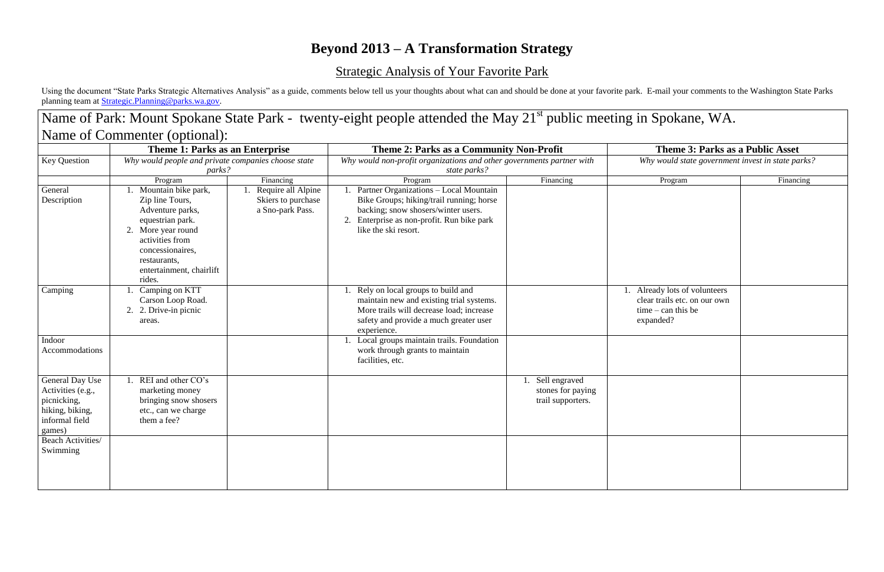## **Beyond 2013 – A Transformation Strategy**

Using the document "State Parks Strategic Alternatives Analysis" as a guide, comments below tell us your thoughts about what can and should be done at your favorite park. E-mail your comments to the Washington State Parks planning team at **[Strategic.Planning@parks.wa.gov.](mailto:Strategic.Planning@parks.wa.gov)** 

## Strategic Analysis of Your Favorite Park

| <b>Key Question</b><br>General<br>Description                                                      | Theme 1: Parks as an Enterprise<br>Why would people and private companies choose state<br>parks?     |                                                                        | Theme 2: Parks as a Community Non-Profit<br>Why would non-profit organizations and other governments partner with<br>state parks? |                                                                                                                                                                                       | <b>Theme 3: Parks as a Public Asset</b><br>Why would state government invest in state parks |                                                                                                    |
|----------------------------------------------------------------------------------------------------|------------------------------------------------------------------------------------------------------|------------------------------------------------------------------------|-----------------------------------------------------------------------------------------------------------------------------------|---------------------------------------------------------------------------------------------------------------------------------------------------------------------------------------|---------------------------------------------------------------------------------------------|----------------------------------------------------------------------------------------------------|
|                                                                                                    |                                                                                                      |                                                                        |                                                                                                                                   |                                                                                                                                                                                       |                                                                                             |                                                                                                    |
|                                                                                                    | Camping                                                                                              | Camping on KTT<br>Carson Loop Road.<br>2. 2. Drive-in picnic<br>areas. |                                                                                                                                   | 1. Rely on local groups to build and<br>maintain new and existing trial systems.<br>More trails will decrease load; increase<br>safety and provide a much greater user<br>experience. |                                                                                             | 1. Already lots of volunteers<br>clear trails etc. on our own<br>$time - can this be$<br>expanded? |
| Indoor<br>Accommodations                                                                           |                                                                                                      |                                                                        | Local groups maintain trails. Foundation<br>work through grants to maintain<br>facilities, etc.                                   |                                                                                                                                                                                       |                                                                                             |                                                                                                    |
| General Day Use<br>Activities (e.g.,<br>picnicking,<br>hiking, biking,<br>informal field<br>games) | REI and other CO's<br>marketing money<br>bringing snow shosers<br>etc., can we charge<br>them a fee? |                                                                        |                                                                                                                                   | 1. Sell engraved<br>stones for paying<br>trail supporters.                                                                                                                            |                                                                                             |                                                                                                    |
| <b>Beach Activities/</b><br>Swimming                                                               |                                                                                                      |                                                                        |                                                                                                                                   |                                                                                                                                                                                       |                                                                                             |                                                                                                    |

## Name of Park: Mount Spokane State Park - twenty-eight people attended the May 21<sup>st</sup> public meeting in Spokane, WA.

## **Theme 3: Parks as a Public Asset** *Why would state government invest in state parks?* ready lots of volunteers ar trails etc. on our own  $te - can this be$ banded?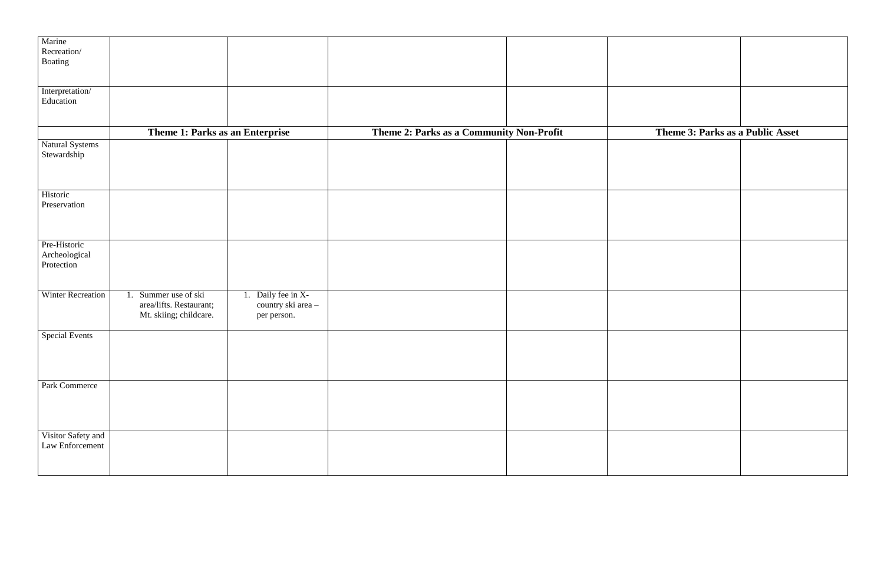| Theme 3: Parks as a Public Asset |  |
|----------------------------------|--|
|                                  |  |
|                                  |  |
|                                  |  |
|                                  |  |
|                                  |  |
|                                  |  |
|                                  |  |

| Marine                         |                                 |                    |                                          |                       |
|--------------------------------|---------------------------------|--------------------|------------------------------------------|-----------------------|
| Recreation/                    |                                 |                    |                                          |                       |
| Boating                        |                                 |                    |                                          |                       |
|                                |                                 |                    |                                          |                       |
|                                |                                 |                    |                                          |                       |
| Interpretation/                |                                 |                    |                                          |                       |
| Education                      |                                 |                    |                                          |                       |
|                                |                                 |                    |                                          |                       |
|                                | Theme 1: Parks as an Enterprise |                    | Theme 2: Parks as a Community Non-Profit | <b>Theme 3: Parks</b> |
|                                |                                 |                    |                                          |                       |
| Natural Systems<br>Stewardship |                                 |                    |                                          |                       |
|                                |                                 |                    |                                          |                       |
|                                |                                 |                    |                                          |                       |
|                                |                                 |                    |                                          |                       |
| Historic                       |                                 |                    |                                          |                       |
| Preservation                   |                                 |                    |                                          |                       |
|                                |                                 |                    |                                          |                       |
|                                |                                 |                    |                                          |                       |
|                                |                                 |                    |                                          |                       |
| Pre-Historic                   |                                 |                    |                                          |                       |
| Archeological                  |                                 |                    |                                          |                       |
| Protection                     |                                 |                    |                                          |                       |
|                                |                                 |                    |                                          |                       |
| Winter Recreation              | 1. Summer use of ski            | 1. Daily fee in X- |                                          |                       |
|                                | area/lifts. Restaurant;         | country ski area-  |                                          |                       |
|                                | Mt. skiing; childcare.          | per person.        |                                          |                       |
|                                |                                 |                    |                                          |                       |
| <b>Special Events</b>          |                                 |                    |                                          |                       |
|                                |                                 |                    |                                          |                       |
|                                |                                 |                    |                                          |                       |
|                                |                                 |                    |                                          |                       |
|                                |                                 |                    |                                          |                       |
| Park Commerce                  |                                 |                    |                                          |                       |
|                                |                                 |                    |                                          |                       |
|                                |                                 |                    |                                          |                       |
|                                |                                 |                    |                                          |                       |
| Visitor Safety and             |                                 |                    |                                          |                       |
| Law Enforcement                |                                 |                    |                                          |                       |
|                                |                                 |                    |                                          |                       |
|                                |                                 |                    |                                          |                       |
|                                |                                 |                    |                                          |                       |